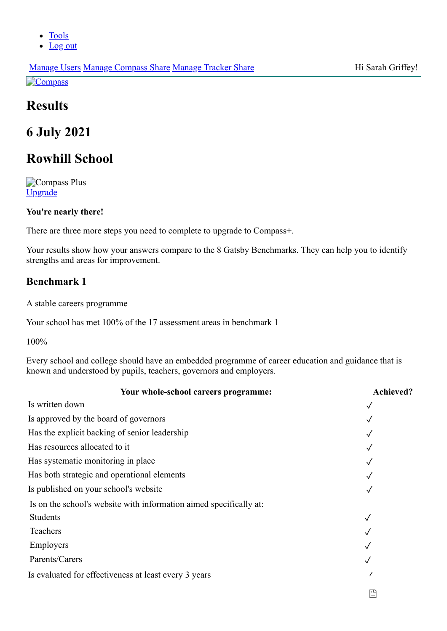- [Tools](https://tools.careersandenterprise.co.uk/dashboard)
- [Log out](https://tools.careersandenterprise.co.uk/logout)

# **Results**

# **6 July 2021**

# **Rowhill School**

**Compass Plus** [Upgrade](https://tools.careersandenterprise.co.uk/plus/upgrading)

## **You're nearly there!**

There are three more steps you need to complete to upgrade to Compass+.

Your results show how your answers compare to the 8 Gatsby Benchmarks. They can help you to identify strengths and areas for improvement.

## **Benchmark 1**

A stable careers programme

Your school has met 100% of the 17 assessment areas in benchmark 1

100%

Every school and college should have an embedded programme of career education and guidance that is known and understood by pupils, teachers, governors and employers.

| Your whole-school careers programme:                               | <b>Achieved?</b> |
|--------------------------------------------------------------------|------------------|
| Is written down                                                    |                  |
| Is approved by the board of governors                              |                  |
| Has the explicit backing of senior leadership                      |                  |
| Has resources allocated to it                                      |                  |
| Has systematic monitoring in place                                 |                  |
| Has both strategic and operational elements                        |                  |
| Is published on your school's website                              |                  |
| Is on the school's website with information aimed specifically at: |                  |
| <b>Students</b>                                                    |                  |
| Teachers                                                           |                  |
| Employers                                                          |                  |
| Parents/Carers                                                     |                  |
| Is evaluated for effectiveness at least every 3 years              |                  |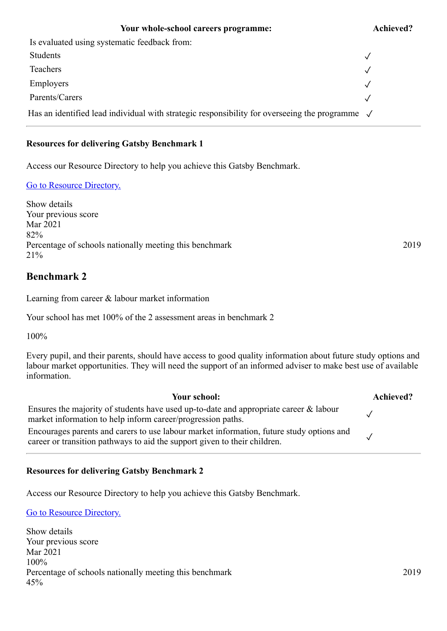#### **Your whole-school careers programme: Achieved?**

# Is evaluated using systematic feedback from: Students  $\sqrt{ }$ Teachers  $\sqrt{ }$  $\blacksquare$ Employers  $\checkmark$ Parents/Carers  $\sqrt{ }$ Has an identified lead individual with strategic responsibility for overseeing the programme  $\sqrt{ }$

#### **Resources for delivering Gatsby Benchmark 1**

Access our Resource Directory to help you achieve this Gatsby Benchmark.

#### [Go to Resource Directory.](https://resources.careersandenterprise.co.uk/or-browse-resources/gatsby-benchmarks/gatsby-benchmark-1)

Show details Your previous score Mar 2021 82% Percentage of schools nationally meeting this benchmark 2019 21%

## **Benchmark 2**

Learning from career & labour market information

Your school has met 100% of the 2 assessment areas in benchmark 2

100%

Every pupil, and their parents, should have access to good quality information about future study options and labour market opportunities. They will need the support of an informed adviser to make best use of available information.

**Your school: Achieved?** Ensures the majority of students have used up-to-date and appropriate career & labour market information to help inform career/progression paths.  $\sqrt{\frac{2}{1}}$ Encourages parents and carers to use labour market information, future study options and  $\alpha$  career or transition pathways to aid the support given to their children.

**Resources for delivering Gatsby Benchmark 2**

Access our Resource Directory to help you achieve this Gatsby Benchmark.

[Go to Resource Directory.](https://resources.careersandenterprise.co.uk/or-browse-resources/gatsby-benchmarks/gatsby-benchmark-2)

Show details Your previous score Mar 2021 100% Percentage of schools nationally meeting this benchmark 2019 45%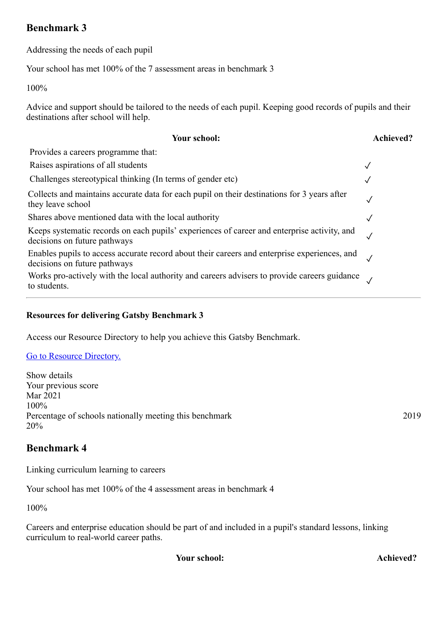## **Benchmark 3**

Addressing the needs of each pupil

Your school has met 100% of the 7 assessment areas in benchmark 3

100%

Advice and support should be tailored to the needs of each pupil. Keeping good records of pupils and their destinations after school will help.

| Your school:                                                                                                                 | <b>Achieved?</b> |
|------------------------------------------------------------------------------------------------------------------------------|------------------|
| Provides a careers programme that:                                                                                           |                  |
| Raises aspirations of all students                                                                                           |                  |
| Challenges stereotypical thinking (In terms of gender etc)                                                                   |                  |
| Collects and maintains accurate data for each pupil on their destinations for 3 years after<br>they leave school             | $\sqrt{}$        |
| Shares above mentioned data with the local authority                                                                         | ✓                |
| Keeps systematic records on each pupils' experiences of career and enterprise activity, and<br>decisions on future pathways  |                  |
| Enables pupils to access accurate record about their careers and enterprise experiences, and<br>decisions on future pathways |                  |
| Works pro-actively with the local authority and careers advisers to provide careers guidance<br>to students.                 |                  |

## **Resources for delivering Gatsby Benchmark 3**

Access our Resource Directory to help you achieve this Gatsby Benchmark.

#### [Go to Resource Directory.](https://resources.careersandenterprise.co.uk/or-browse-resources/gatsby-benchmarks/gatsby-benchmark-3)

Show details Your previous score Mar 2021 100% Percentage of schools nationally meeting this benchmark 2019 20%

## **Benchmark 4**

Linking curriculum learning to careers

Your school has met 100% of the 4 assessment areas in benchmark 4

100%

Careers and enterprise education should be part of and included in a pupil's standard lessons, linking curriculum to real-world career paths.

**Your school: Achieved?**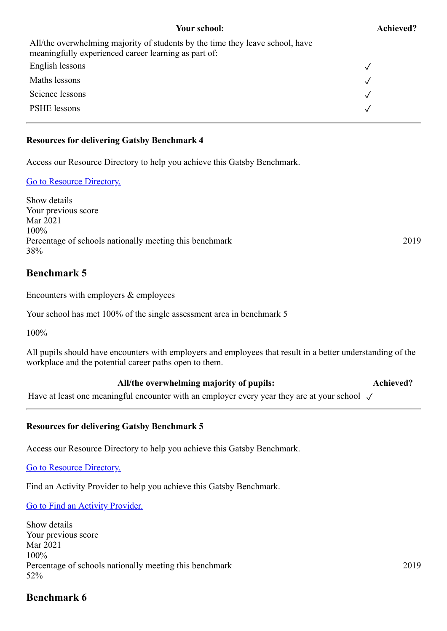#### **Your school: Achieved?**

| All/the overwhelming majority of students by the time they leave school, have<br>meaningfully experienced career learning as part of: |  |
|---------------------------------------------------------------------------------------------------------------------------------------|--|
| English lessons                                                                                                                       |  |
| Maths lessons                                                                                                                         |  |
| Science lessons                                                                                                                       |  |
| PSHE lessons                                                                                                                          |  |
|                                                                                                                                       |  |

#### **Resources for delivering Gatsby Benchmark 4**

Access our Resource Directory to help you achieve this Gatsby Benchmark.

#### [Go to Resource Directory.](https://resources.careersandenterprise.co.uk/or-browse-resources/gatsby-benchmarks/gatsby-benchmark-4)

Show details Your previous score Mar 2021 100% Percentage of schools nationally meeting this benchmark 2019 38%

## **Benchmark 5**

Encounters with employers & employees

Your school has met 100% of the single assessment area in benchmark 5

100%

All pupils should have encounters with employers and employees that result in a better understanding of the workplace and the potential career paths open to them.

#### **All/the overwhelming majority of pupils: Achieved?**

Have at least one meaningful encounter with an employer every year they are at your school √

#### **Resources for delivering Gatsby Benchmark 5**

Access our Resource Directory to help you achieve this Gatsby Benchmark.

[Go to Resource Directory.](https://resources.careersandenterprise.co.uk/or-browse-resources/gatsby-benchmarks/gatsby-benchmark-5)

Find an Activity Provider to help you achieve this Gatsby Benchmark.

## [Go to Find an Activity Provider.](https://www.careersandenterprise.co.uk/find-activity-provider)

Show details Your previous score Mar 2021 100% Percentage of schools nationally meeting this benchmark 2019 52%

## **Benchmark 6**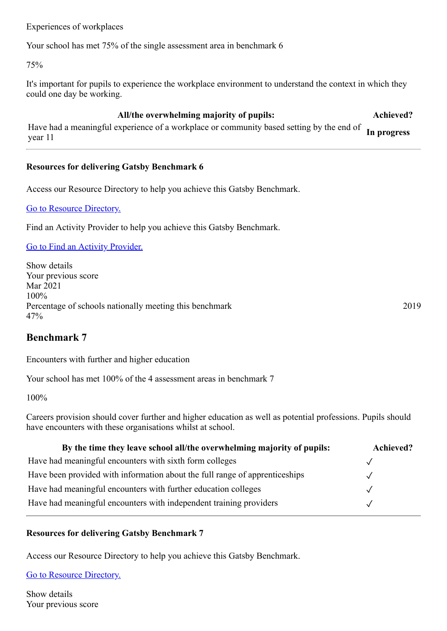Experiences of workplaces

Your school has met 75% of the single assessment area in benchmark 6

75%

It's important for pupils to experience the workplace environment to understand the context in which they could one day be working.

**All/the overwhelming majority of pupils: Achieved?** Have had a meaningful experience of a workplace or community based setting by the end of year 11 **In progress**

### **Resources for delivering Gatsby Benchmark 6**

Access our Resource Directory to help you achieve this Gatsby Benchmark.

[Go to Resource Directory.](https://resources.careersandenterprise.co.uk/or-browse-resources/gatsby-benchmarks/gatsby-benchmark-6)

Find an Activity Provider to help you achieve this Gatsby Benchmark.

[Go to Find an Activity Provider.](https://www.careersandenterprise.co.uk/find-activity-provider)

Show details Your previous score Mar 2021 100% Percentage of schools nationally meeting this benchmark 2019 47%

**Benchmark 7**

Encounters with further and higher education

Your school has met 100% of the 4 assessment areas in benchmark 7

100%

Careers provision should cover further and higher education as well as potential professions. Pupils should have encounters with these organisations whilst at school.

| By the time they leave school all/the overwhelming majority of pupils:      | Achieved? |
|-----------------------------------------------------------------------------|-----------|
| Have had meaningful encounters with sixth form colleges                     |           |
| Have been provided with information about the full range of apprenticeships |           |
| Have had meaningful encounters with further education colleges              |           |
| Have had meaningful encounters with independent training providers          |           |

#### **Resources for delivering Gatsby Benchmark 7**

Access our Resource Directory to help you achieve this Gatsby Benchmark.

[Go to Resource Directory.](https://resources.careersandenterprise.co.uk/or-browse-resources/gatsby-benchmarks/gatsby-benchmark-7)

Show details Your previous score